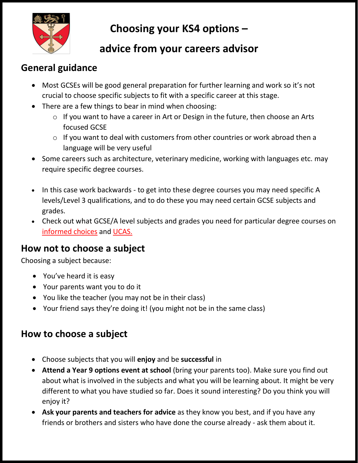

# **Choosing your KS4 options –**

## **advice from your careers advisor**

### **General guidance**

- Most GCSEs will be good general preparation for further learning and work so it's not crucial to choose specific subjects to fit with a specific career at this stage.
- There are a few things to bear in mind when choosing:
	- o If you want to have a career in Art or Design in the future, then choose an Arts focused GCSE
	- o If you want to deal with customers from other countries or work abroad then a language will be very useful
- Some careers such as architecture, veterinary medicine, working with languages etc. may require specific degree courses.
- In this case work backwards to get into these degree courses you may need specific A levels/Level 3 qualifications, and to do these you may need certain GCSE subjects and grades.
- Check out what GCSE/A level subjects and grades you need for particular degree courses on [informed choices](https://www.informedchoices.ac.uk/degrees) and [UCAS.](https://www.ucas.com/)

### **How not to choose a subject**

Choosing a subject because:

- You've heard it is easy
- Your parents want you to do it
- You like the teacher (you may not be in their class)
- Your friend says they're doing it! (you might not be in the same class)

### **How to choose a subject**

- Choose subjects that you will **enjoy** and be **successful** in
- **Attend a Year 9 options event at school** (bring your parents too). Make sure you find out about what is involved in the subjects and what you will be learning about. It might be very different to what you have studied so far. Does it sound interesting? Do you think you will enjoy it?
- **Ask your parents and teachers for advice** as they know you best, and if you have any friends or brothers and sisters who have done the course already - ask them about it.